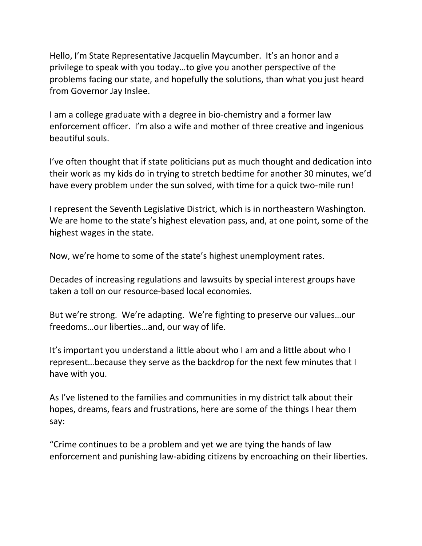Hello, I'm State Representative Jacquelin Maycumber. It's an honor and a privilege to speak with you today…to give you another perspective of the problems facing our state, and hopefully the solutions, than what you just heard from Governor Jay Inslee.

I am a college graduate with a degree in bio-chemistry and a former law enforcement officer. I'm also a wife and mother of three creative and ingenious beautiful souls.

I've often thought that if state politicians put as much thought and dedication into their work as my kids do in trying to stretch bedtime for another 30 minutes, we'd have every problem under the sun solved, with time for a quick two-mile run!

I represent the Seventh Legislative District, which is in northeastern Washington. We are home to the state's highest elevation pass, and, at one point, some of the highest wages in the state.

Now, we're home to some of the state's highest unemployment rates.

Decades of increasing regulations and lawsuits by special interest groups have taken a toll on our resource-based local economies.

But we're strong. We're adapting. We're fighting to preserve our values…our freedoms…our liberties…and, our way of life.

It's important you understand a little about who I am and a little about who I represent…because they serve as the backdrop for the next few minutes that I have with you.

As I've listened to the families and communities in my district talk about their hopes, dreams, fears and frustrations, here are some of the things I hear them say:

"Crime continues to be a problem and yet we are tying the hands of law enforcement and punishing law-abiding citizens by encroaching on their liberties.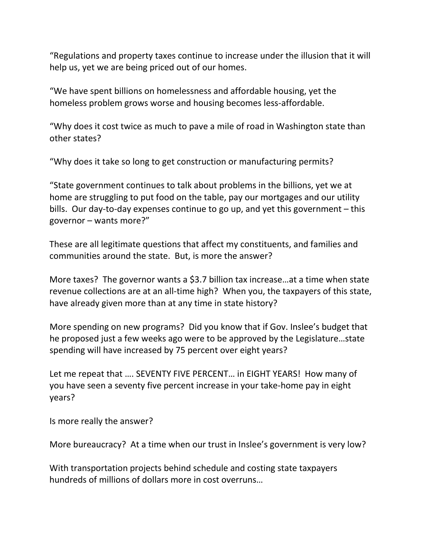"Regulations and property taxes continue to increase under the illusion that it will help us, yet we are being priced out of our homes.

"We have spent billions on homelessness and affordable housing, yet the homeless problem grows worse and housing becomes less-affordable.

"Why does it cost twice as much to pave a mile of road in Washington state than other states?

"Why does it take so long to get construction or manufacturing permits?

"State government continues to talk about problems in the billions, yet we at home are struggling to put food on the table, pay our mortgages and our utility bills. Our day-to-day expenses continue to go up, and yet this government – this governor – wants more?"

These are all legitimate questions that affect my constituents, and families and communities around the state. But, is more the answer?

More taxes? The governor wants a \$3.7 billion tax increase…at a time when state revenue collections are at an all-time high? When you, the taxpayers of this state, have already given more than at any time in state history?

More spending on new programs? Did you know that if Gov. Inslee's budget that he proposed just a few weeks ago were to be approved by the Legislature…state spending will have increased by 75 percent over eight years?

Let me repeat that …. SEVENTY FIVE PERCENT… in EIGHT YEARS! How many of you have seen a seventy five percent increase in your take-home pay in eight years?

Is more really the answer?

More bureaucracy? At a time when our trust in Inslee's government is very low?

With transportation projects behind schedule and costing state taxpayers hundreds of millions of dollars more in cost overruns…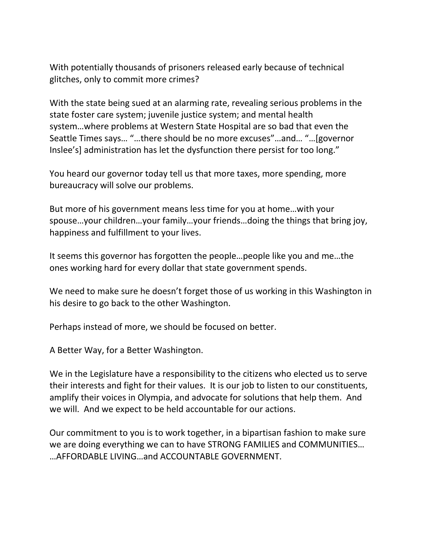With potentially thousands of prisoners released early because of technical glitches, only to commit more crimes?

With the state being sued at an alarming rate, revealing serious problems in the state foster care system; juvenile justice system; and mental health system…where problems at Western State Hospital are so bad that even the Seattle Times says… "…there should be no more excuses"…and… "…[governor Inslee's] administration has let the dysfunction there persist for too long."

You heard our governor today tell us that more taxes, more spending, more bureaucracy will solve our problems.

But more of his government means less time for you at home…with your spouse…your children…your family…your friends…doing the things that bring joy, happiness and fulfillment to your lives.

It seems this governor has forgotten the people…people like you and me…the ones working hard for every dollar that state government spends.

We need to make sure he doesn't forget those of us working in this Washington in his desire to go back to the other Washington.

Perhaps instead of more, we should be focused on better.

A Better Way, for a Better Washington.

We in the Legislature have a responsibility to the citizens who elected us to serve their interests and fight for their values. It is our job to listen to our constituents, amplify their voices in Olympia, and advocate for solutions that help them. And we will. And we expect to be held accountable for our actions.

Our commitment to you is to work together, in a bipartisan fashion to make sure we are doing everything we can to have STRONG FAMILIES and COMMUNITIES… …AFFORDABLE LIVING…and ACCOUNTABLE GOVERNMENT.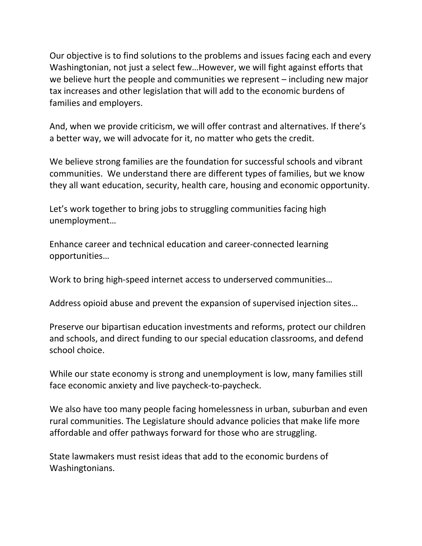Our objective is to find solutions to the problems and issues facing each and every Washingtonian, not just a select few…However, we will fight against efforts that we believe hurt the people and communities we represent – including new major tax increases and other legislation that will add to the economic burdens of families and employers.

And, when we provide criticism, we will offer contrast and alternatives. If there's a better way, we will advocate for it, no matter who gets the credit.

We believe strong families are the foundation for successful schools and vibrant communities. We understand there are different types of families, but we know they all want education, security, health care, housing and economic opportunity.

Let's work together to bring jobs to struggling communities facing high unemployment…

Enhance career and technical education and career-connected learning opportunities…

Work to bring high-speed internet access to underserved communities…

Address opioid abuse and prevent the expansion of supervised injection sites…

Preserve our bipartisan education investments and reforms, protect our children and schools, and direct funding to our special education classrooms, and defend school choice.

While our state economy is strong and unemployment is low, many families still face economic anxiety and live paycheck-to-paycheck.

We also have too many people facing homelessness in urban, suburban and even rural communities. The Legislature should advance policies that make life more affordable and offer pathways forward for those who are struggling.

State lawmakers must resist ideas that add to the economic burdens of Washingtonians.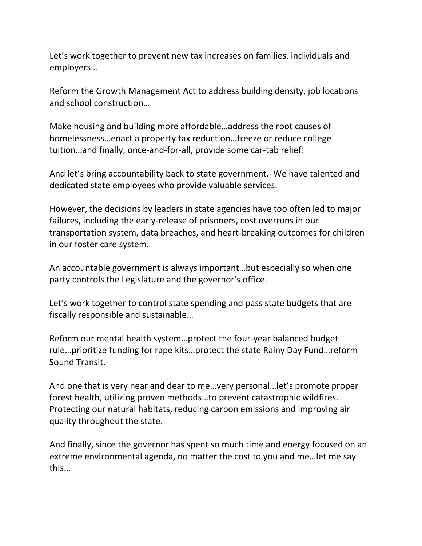Let's work together to prevent new tax increases on families, individuals and employers…

Reform the Growth Management Act to address building density, job locations and school construction…

Make housing and building more affordable…address the root causes of homelessness…enact a property tax reduction…freeze or reduce college tuition…and finally, once-and-for-all, provide some car-tab relief!

And let's bring accountability back to state government. We have talented and dedicated state employees who provide valuable services.

However, the decisions by leaders in state agencies have too often led to major failures, including the early-release of prisoners, cost overruns in our transportation system, data breaches, and heart-breaking outcomes for children in our foster care system.

An accountable government is always important…but especially so when one party controls the Legislature and the governor's office.

Let's work together to control state spending and pass state budgets that are fiscally responsible and sustainable…

Reform our mental health system…protect the four-year balanced budget rule…prioritize funding for rape kits…protect the state Rainy Day Fund…reform Sound Transit.

And one that is very near and dear to me…very personal…let's promote proper forest health, utilizing proven methods…to prevent catastrophic wildfires. Protecting our natural habitats, reducing carbon emissions and improving air quality throughout the state.

And finally, since the governor has spent so much time and energy focused on an extreme environmental agenda, no matter the cost to you and me…let me say this…